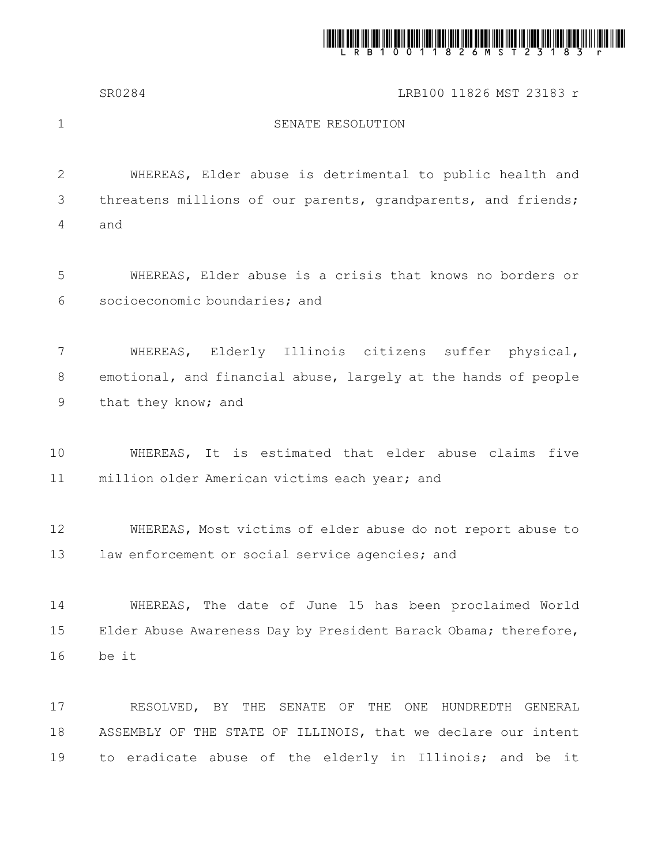

SR0284 LRB100 11826 MST 23183 r

1

## SENATE RESOLUTION

WHEREAS, Elder abuse is detrimental to public health and threatens millions of our parents, grandparents, and friends; and 2 3 4

WHEREAS, Elder abuse is a crisis that knows no borders or socioeconomic boundaries; and 5 6

WHEREAS, Elderly Illinois citizens suffer physical, emotional, and financial abuse, largely at the hands of people that they know; and 7 8 9

WHEREAS, It is estimated that elder abuse claims five million older American victims each year; and 10 11

WHEREAS, Most victims of elder abuse do not report abuse to law enforcement or social service agencies; and 12 13

WHEREAS, The date of June 15 has been proclaimed World Elder Abuse Awareness Day by President Barack Obama; therefore, be it 14 15 16

RESOLVED, BY THE SENATE OF THE ONE HUNDREDTH GENERAL ASSEMBLY OF THE STATE OF ILLINOIS, that we declare our intent to eradicate abuse of the elderly in Illinois; and be it 17 18 19